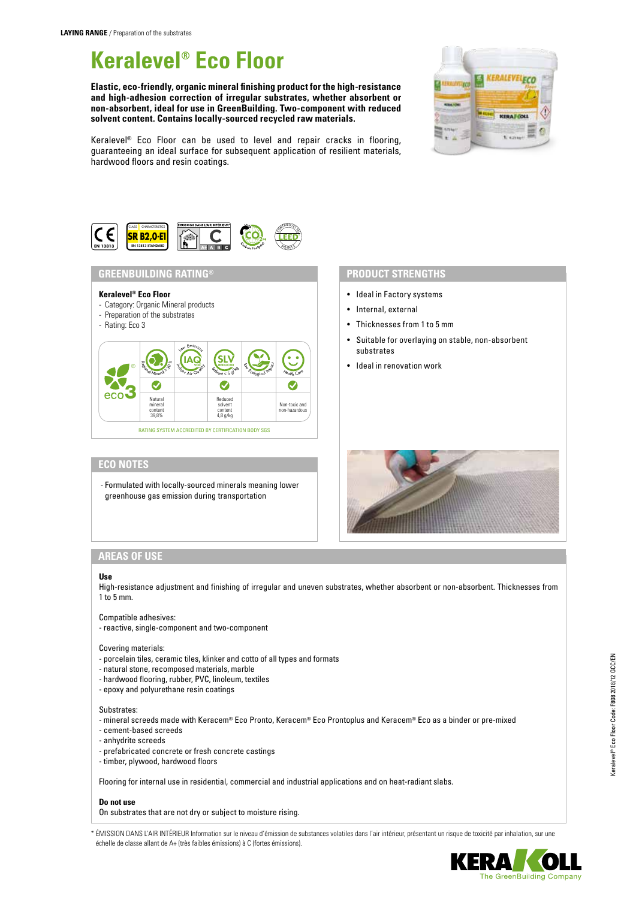# **Keralevel® Eco Floor**

**Elastic, eco-friendly, organic mineral finishing product for the high-resistance and high-adhesion correction of irregular substrates, whether absorbent or non-absorbent, ideal for use in GreenBuilding. Two-component with reduced solvent content. Contains locally-sourced recycled raw materials.**



Keralevel® Eco Floor can be used to level and repair cracks in flooring, guaranteeing an ideal surface for subsequent application of resilient materials, hardwood floors and resin coatings.



# **GREENBUILDING RATING®**

#### **Keralevel® Eco Floor**

- Category: Organic Mineral products
- Preparation of the substrates
- Rating: Eco 3



## **ECO NOTES**

- Formulated with locally-sourced minerals meaning lower greenhouse gas emission during transportation

# **PRODUCT STRENGTHS**

- Ideal in Factory systems
- Internal, external
- Thicknesses from 1 to 5 mm
- Suitable for overlaying on stable, non-absorbent substrates
- Ideal in renovation work



# **AREAS OF USE**

#### **Use**

High-resistance adjustment and finishing of irregular and uneven substrates, whether absorbent or non-absorbent. Thicknesses from 1 to 5 mm.

#### Compatible adhesives:

- reactive, single-component and two-component

#### Covering materials:

- porcelain tiles, ceramic tiles, klinker and cotto of all types and formats
- natural stone, recomposed materials, marble
- hardwood flooring, rubber, PVC, linoleum, textiles
- epoxy and polyurethane resin coatings

#### Substrates:

- mineral screeds made with Keracem® Eco Pronto, Keracem® Eco Prontoplus and Keracem® Eco as a binder or pre-mixed

- cement-based screeds
- anhydrite screeds
- prefabricated concrete or fresh concrete castings
- timber, plywood, hardwood floors

Flooring for internal use in residential, commercial and industrial applications and on heat-radiant slabs.

#### **Do not use**

On substrates that are not dry or subject to moisture rising.

\* ÉMISSION DANS L'AIR INTÉRIEUR Information sur le niveau d'émission de substances volatiles dans l'air intérieur, présentant un risque de toxicité par inhalation, sur une échelle de classe allant de A+ (très faibles émissions) à C (fortes émissions).



The GreenBuilding Company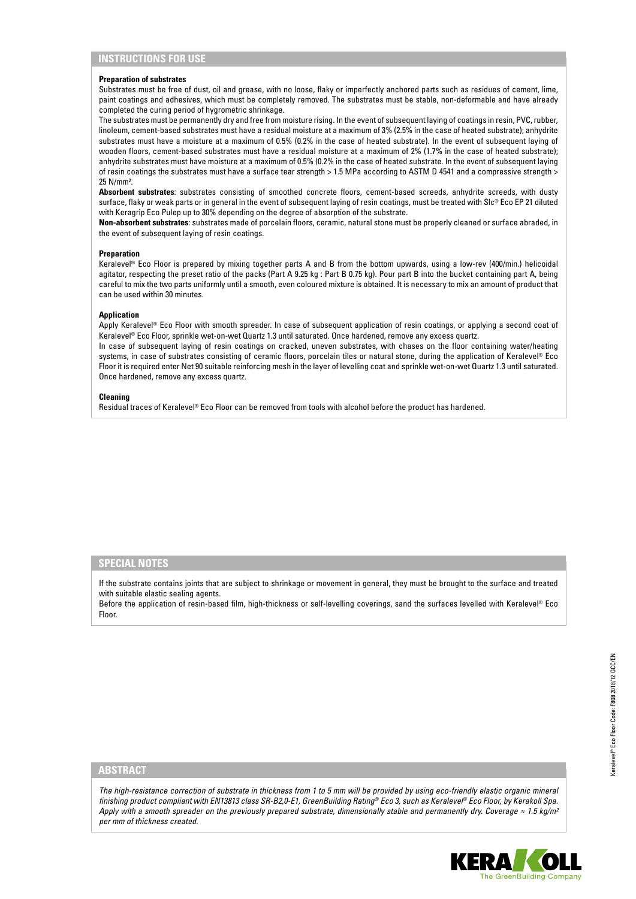#### **Preparation of substrates**

Substrates must be free of dust, oil and grease, with no loose, flaky or imperfectly anchored parts such as residues of cement, lime, paint coatings and adhesives, which must be completely removed. The substrates must be stable, non-deformable and have already completed the curing period of hygrometric shrinkage.

The substrates must be permanently dry and free from moisture rising. In the event of subsequent laying of coatings in resin, PVC, rubber, linoleum, cement-based substrates must have a residual moisture at a maximum of 3% (2.5% in the case of heated substrate); anhydrite substrates must have a moisture at a maximum of 0.5% (0.2% in the case of heated substrate). In the event of subsequent laying of wooden floors, cement-based substrates must have a residual moisture at a maximum of 2% (1.7% in the case of heated substrate); anhydrite substrates must have moisture at a maximum of 0.5% (0.2% in the case of heated substrate. In the event of subsequent laying of resin coatings the substrates must have a surface tear strength > 1.5 MPa according to ASTM D 4541 and a compressive strength > 25 N/mm².

**Absorbent substrates**: substrates consisting of smoothed concrete floors, cement-based screeds, anhydrite screeds, with dusty surface, flaky or weak parts or in general in the event of subsequent laying of resin coatings, must be treated with Slc® Eco EP 21 diluted with Keragrip Eco Pulep up to 30% depending on the degree of absorption of the substrate.

**Non-absorbent substrates**: substrates made of porcelain floors, ceramic, natural stone must be properly cleaned or surface abraded, in the event of subsequent laying of resin coatings.

#### **Preparation**

Keralevel® Eco Floor is prepared by mixing together parts A and B from the bottom upwards, using a low-rev (400/min.) helicoidal agitator, respecting the preset ratio of the packs (Part A 9.25 kg : Part B 0.75 kg). Pour part B into the bucket containing part A, being careful to mix the two parts uniformly until a smooth, even coloured mixture is obtained. It is necessary to mix an amount of product that can be used within 30 minutes.

#### **Application**

Apply Keralevel® Eco Floor with smooth spreader. In case of subsequent application of resin coatings, or applying a second coat of Keralevel® Eco Floor, sprinkle wet-on-wet Quartz 1.3 until saturated. Once hardened, remove any excess quartz.

In case of subsequent laying of resin coatings on cracked, uneven substrates, with chases on the floor containing water/heating systems, in case of substrates consisting of ceramic floors, porcelain tiles or natural stone, during the application of Keralevel® Eco Floor it is required enter Net 90 suitable reinforcing mesh in the layer of levelling coat and sprinkle wet-on-wet Quartz 1.3 until saturated. Once hardened, remove any excess quartz.

#### **Cleaning**

Residual traces of Keralevel® Eco Floor can be removed from tools with alcohol before the product has hardened.

#### **SPECIAL NOTES**

If the substrate contains joints that are subject to shrinkage or movement in general, they must be brought to the surface and treated with suitable elastic sealing agents.

Before the application of resin-based film, high-thickness or self-levelling coverings, sand the surfaces levelled with Keralevel ® Eco Floor.

# **ABSTRACT**

*The high-resistance correction of substrate in thickness from 1 to 5 mm will be provided by using eco-friendly elastic organic mineral finishing product compliant with EN13813 class SR-B2,0-E1, GreenBuilding Rating® Eco 3, such as Keralevel® Eco Floor, by Kerakoll Spa. Apply with a smooth spreader on the previously prepared substrate, dimensionally stable and permanently dry. Coverage ≈ 1.5 kg/m² per mm of thickness created.*